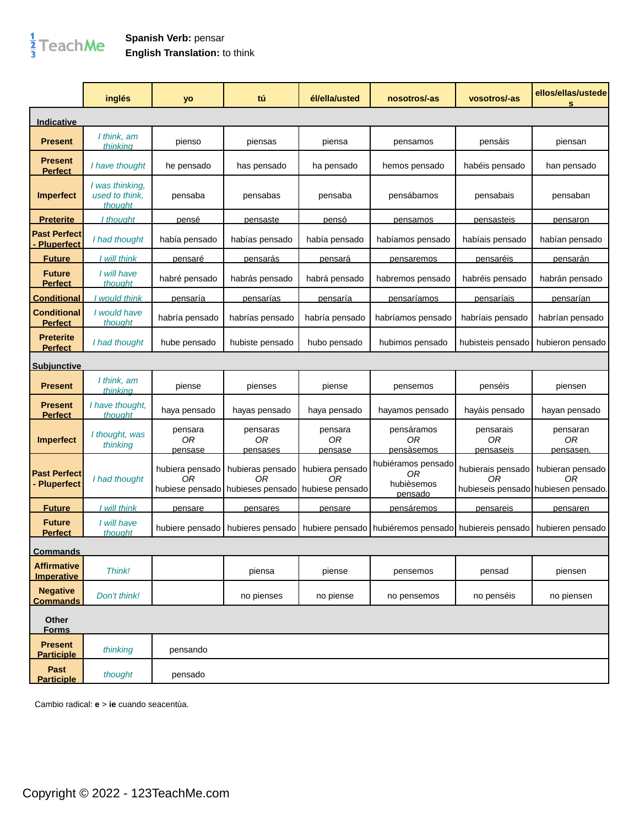## $\frac{1}{3}$ TeachMe

## **Spanish Verb:** pensar **English Translation:** to think

|                                      | inglés                                       | yo                                       | tú                                                         | él/ella/usted            | nosotros/-as                                      | vosotros/-as                 | ellos/ellas/ustede<br>S                                       |
|--------------------------------------|----------------------------------------------|------------------------------------------|------------------------------------------------------------|--------------------------|---------------------------------------------------|------------------------------|---------------------------------------------------------------|
| <b>Indicative</b>                    |                                              |                                          |                                                            |                          |                                                   |                              |                                                               |
| <b>Present</b>                       | I think, am<br>thinking                      | pienso                                   | piensas                                                    | piensa                   | pensamos                                          | pensáis                      | piensan                                                       |
| <b>Present</b><br><b>Perfect</b>     | I have thought                               | he pensado                               | has pensado                                                | ha pensado               | hemos pensado                                     | habéis pensado               | han pensado                                                   |
| <b>Imperfect</b>                     | I was thinking,<br>used to think,<br>thouaht | pensaba                                  | pensabas                                                   | pensaba                  | pensábamos                                        | pensabais                    | pensaban                                                      |
| <u>Preterite_</u>                    | I thouaht                                    | pensé                                    | pensaste                                                   | pensó                    | pensamos                                          | <b>pensasteis</b>            | pensaron                                                      |
| <b>Past Perfect</b><br>Pluperfect    | I had thought                                | había pensado                            | habías pensado                                             | había pensado            | habíamos pensado                                  | habíais pensado              | habían pensado                                                |
| <b>Future</b>                        | I will think                                 | pensaré                                  | pensarás                                                   | pensará                  | pensaremos                                        | pensaréis                    | pensarán                                                      |
| <b>Future</b><br><b>Perfect</b>      | I will have<br>thought                       | habré pensado                            | habrás pensado                                             | habrá pensado            | habremos pensado                                  | habréis pensado              | habrán pensado                                                |
| <b>Conditional</b>                   | would think                                  | <u>pensaría</u>                          | pensarías                                                  | pensaría                 | pensaríamos                                       | pensaríais                   | pensarian                                                     |
| <b>Conditional</b><br><u>Perfect</u> | I would have<br>thought                      | habría pensado                           | habrías pensado                                            | habría pensado           | habríamos pensado                                 | habríais pensado             | habrían pensado                                               |
| <b>Preterite</b><br><b>Perfect</b>   | I had thought                                | hube pensado                             | hubiste pensado                                            | hubo pensado             | hubimos pensado                                   | hubisteis pensado            | hubieron pensado                                              |
| <u>Subiunctive</u>                   |                                              |                                          |                                                            |                          |                                                   |                              |                                                               |
| <b>Present</b>                       | I think, am<br>thinkina                      | piense                                   | pienses                                                    | piense                   | pensemos                                          | penséis                      | piensen                                                       |
| <b>Present</b><br><u>Perfect</u>     | I have thought,<br>thought                   | haya pensado                             | hayas pensado                                              | haya pensado             | hayamos pensado                                   | hayáis pensado               | hayan pensado                                                 |
| <b>Imperfect</b>                     | I thought, was<br>thinking                   | pensara<br>0R<br>pensase                 | pensaras<br>0R<br>pensases                                 | pensara<br>0R<br>pensase | pensáramos<br>0R<br>pensàsemos                    | pensarais<br>0R<br>pensaseis | pensaran<br>0R<br>pensasen.                                   |
| <b>Past Perfect</b><br>- Pluperfect  | I had thought                                | hubiera pensado<br>ΟR<br>hubiese pensado | hubieras pensado<br>0R<br>hubieses pensado hubiese pensado | hubiera pensado<br>0R    | hubiéramos pensado<br>ΟR<br>hubièsemos<br>pensado | hubierais pensado<br>0R      | hubieran pensado<br>0R<br>hubieseis pensado hubiesen pensado. |
| <b>Future</b>                        | l will think                                 | pensare                                  | pensares                                                   | pensare                  | pensáremos                                        | pensareis                    | pensaren                                                      |
| <b>Future</b><br><b>Perfect</b>      | I will have<br>thought                       | hubiere pensado                          | hubieres pensado                                           | hubiere pensado          | hubiéremos pensado                                | hubiereis pensado            | hubieren pensado                                              |
| <b>Commands</b>                      |                                              |                                          |                                                            |                          |                                                   |                              |                                                               |
| <b>Affirmative</b><br>Imperative     | Think!                                       |                                          | piensa                                                     | piense                   | pensemos                                          | pensad                       | piensen                                                       |
| <b>Negative</b><br><b>Commands</b>   | Don't think!                                 |                                          | no pienses                                                 | no piense                | no pensemos                                       | no penséis                   | no piensen                                                    |
| Other<br><b>Forms</b>                |                                              |                                          |                                                            |                          |                                                   |                              |                                                               |
| <b>Present</b><br><b>Participle</b>  | thinking                                     | pensando                                 |                                                            |                          |                                                   |                              |                                                               |
| Past<br><b>Participle</b>            | thought                                      | pensado                                  |                                                            |                          |                                                   |                              |                                                               |

Cambio radical: **e** > **ie** cuando seacentùa.